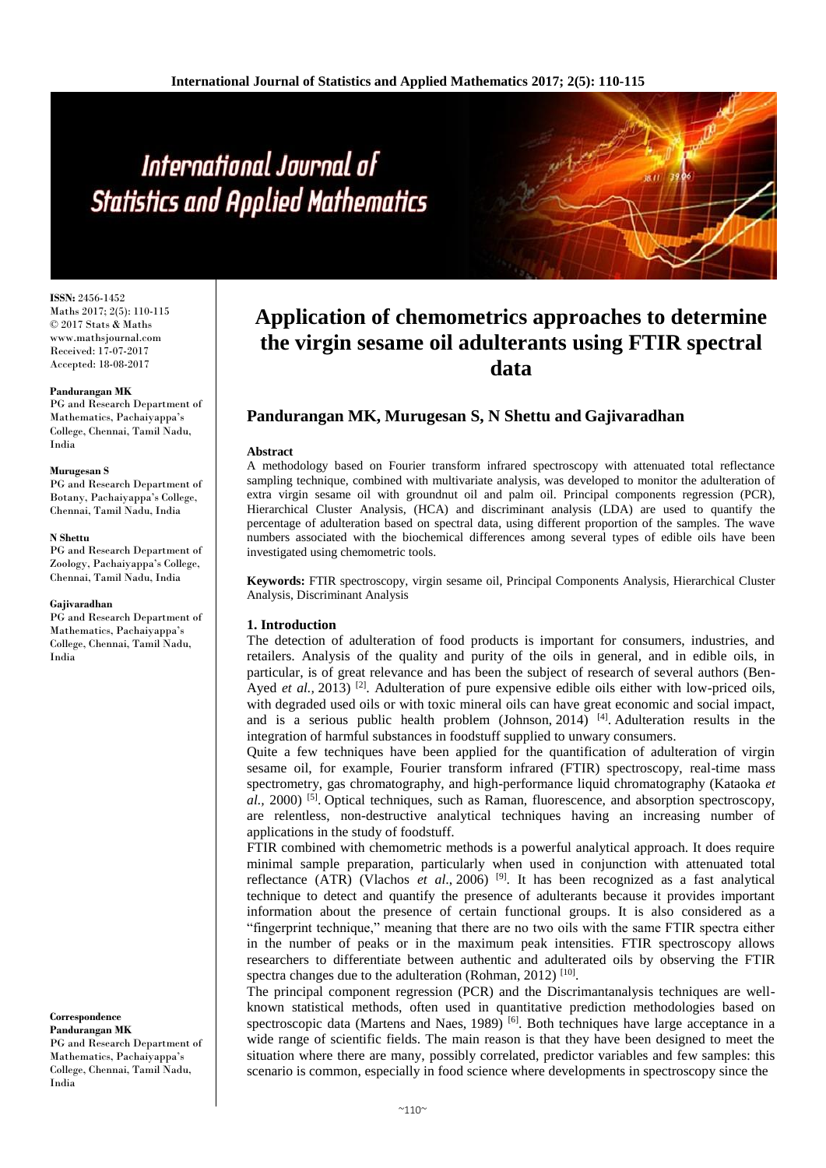**ISSN:** 2456-1452 Maths 2017; 2(5): 110-115 © 2017 Stats & Maths www.mathsjournal.com Received: 17-07-2017 Accepted: 18-08-2017

#### **Pandurangan MK**

PG and Research Department of Mathematics, Pachaiyappa's College, Chennai, Tamil Nadu, India

#### **Murugesan S**

PG and Research Department of Botany, Pachaiyappa's College, Chennai, Tamil Nadu, India

#### **N Shettu**

PG and Research Department of Zoology, Pachaiyappa's College, Chennai, Tamil Nadu, India

#### **Gajivaradhan**

PG and Research Department of Mathematics, Pachaiyappa's College, Chennai, Tamil Nadu, India

**Correspondence Pandurangan MK**

PG and Research Department of Mathematics, Pachaiyappa's College, Chennai, Tamil Nadu, India

# **Application of chemometrics approaches to determine the virgin sesame oil adulterants using FTIR spectral data**

# **Pandurangan MK, Murugesan S, N Shettu and Gajivaradhan**

#### **Abstract**

A methodology based on Fourier transform infrared spectroscopy with attenuated total reflectance sampling technique, combined with multivariate analysis, was developed to monitor the adulteration of extra virgin sesame oil with groundnut oil and palm oil. Principal components regression (PCR), Hierarchical Cluster Analysis, (HCA) and discriminant analysis (LDA) are used to quantify the percentage of adulteration based on spectral data, using different proportion of the samples. The wave numbers associated with the biochemical differences among several types of edible oils have been investigated using chemometric tools.

**Keywords:** FTIR spectroscopy, virgin sesame oil, Principal Components Analysis, Hierarchical Cluster Analysis, Discriminant Analysis

#### **1. Introduction**

The detection of adulteration of food products is important for consumers, industries, and retailers. Analysis of the quality and purity of the oils in general, and in edible oils, in particular, is of great relevance and has been the subject of research of several authors (Ben-Ayed *et al.*, 2013)<sup>[2]</sup>. Adulteration of pure expensive edible oils either with low-priced oils, with degraded used oils or with toxic mineral oils can have great economic and social impact, and is a serious public health problem (Johnson, 2014)<sup>[4]</sup>. Adulteration results in the integration of harmful substances in foodstuff supplied to unwary consumers.

Quite a few techniques have been applied for the quantification of adulteration of virgin sesame oil, for example, Fourier transform infrared (FTIR) spectroscopy, real-time mass spectrometry, gas chromatography, and high-performance liquid chromatography (Kataoka *et*  al., 2000) <sup>[5]</sup>. Optical techniques, such as Raman, fluorescence, and absorption spectroscopy, are relentless, non-destructive analytical techniques having an increasing number of applications in the study of foodstuff.

FTIR combined with chemometric methods is a powerful analytical approach. It does require minimal sample preparation, particularly when used in conjunction with attenuated total reflectance (ATR) (Vlachos *et al*., 2006) [9]. It has been recognized as a fast analytical technique to detect and quantify the presence of adulterants because it provides important information about the presence of certain functional groups. It is also considered as a "fingerprint technique," meaning that there are no two oils with the same FTIR spectra either in the number of peaks or in the maximum peak intensities. FTIR spectroscopy allows researchers to differentiate between authentic and adulterated oils by observing the FTIR spectra changes due to the adulteration (Rohman, 2012)<sup>[10]</sup>.

The principal component regression (PCR) and the Discrimantanalysis techniques are wellknown statistical methods, often used in quantitative prediction methodologies based on spectroscopic data (Martens and Naes, 1989) <sup>[6]</sup>. Both techniques have large acceptance in a wide range of scientific fields. The main reason is that they have been designed to meet the situation where there are many, possibly correlated, predictor variables and few samples: this scenario is common, especially in food science where developments in spectroscopy since the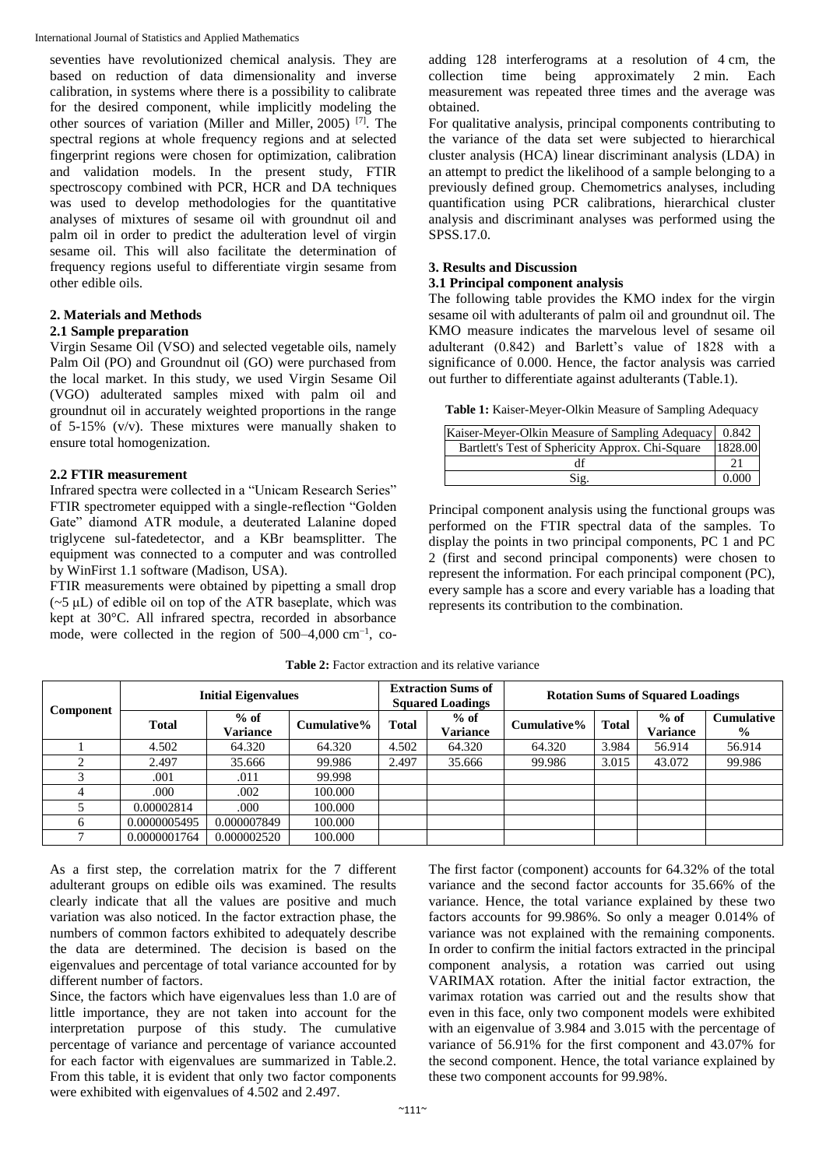seventies have revolutionized chemical analysis. They are based on reduction of data dimensionality and inverse calibration, in systems where there is a possibility to calibrate for the desired component, while implicitly modeling the other sources of variation (Miller and Miller, 2005) [7]. The spectral regions at whole frequency regions and at selected fingerprint regions were chosen for optimization, calibration and validation models. In the present study, FTIR spectroscopy combined with PCR, HCR and DA techniques was used to develop methodologies for the quantitative analyses of mixtures of sesame oil with groundnut oil and palm oil in order to predict the adulteration level of virgin sesame oil. This will also facilitate the determination of frequency regions useful to differentiate virgin sesame from other edible oils.

# **2. Materials and Methods**

# **2.1 Sample preparation**

Virgin Sesame Oil (VSO) and selected vegetable oils, namely Palm Oil (PO) and Groundnut oil (GO) were purchased from the local market. In this study, we used Virgin Sesame Oil (VGO) adulterated samples mixed with palm oil and groundnut oil in accurately weighted proportions in the range of 5-15% (v/v). These mixtures were manually shaken to ensure total homogenization.

# **2.2 FTIR measurement**

Infrared spectra were collected in a "Unicam Research Series" FTIR spectrometer equipped with a single-reflection "Golden Gate" diamond ATR module, a deuterated Lalanine doped triglycene sul-fatedetector, and a KBr beamsplitter. The equipment was connected to a computer and was controlled by WinFirst 1.1 software (Madison, USA).

FTIR measurements were obtained by pipetting a small drop  $(-5 \text{ uL})$  of edible oil on top of the ATR baseplate, which was kept at 30°C. All infrared spectra, recorded in absorbance mode, were collected in the region of 500–4,000 cm<sup>-1</sup>, coadding 128 interferograms at a resolution of 4 cm, the collection time being approximately 2 min. Each measurement was repeated three times and the average was obtained.

For qualitative analysis, principal components contributing to the variance of the data set were subjected to hierarchical cluster analysis (HCA) linear discriminant analysis (LDA) in an attempt to predict the likelihood of a sample belonging to a previously defined group. Chemometrics analyses, including quantification using PCR calibrations, hierarchical cluster analysis and discriminant analyses was performed using the SPSS.17.0.

# **3. Results and Discussion**

# **3.1 Principal component analysis**

The following table provides the KMO index for the virgin sesame oil with adulterants of palm oil and groundnut oil. The KMO measure indicates the marvelous level of sesame oil adulterant (0.842) and Barlett's value of 1828 with a significance of 0.000. Hence, the factor analysis was carried out further to differentiate against adulterants (Table.1).

**Table 1:** Kaiser-Meyer-Olkin Measure of Sampling Adequacy

| Kaiser-Meyer-Olkin Measure of Sampling Adequacy   0.842 |         |
|---------------------------------------------------------|---------|
| Bartlett's Test of Sphericity Approx. Chi-Square        | 1828.00 |
|                                                         |         |
| Sig.                                                    | 0.000   |

Principal component analysis using the functional groups was performed on the FTIR spectral data of the samples. To display the points in two principal components, PC 1 and PC 2 (first and second principal components) were chosen to represent the information. For each principal component (PC), every sample has a score and every variable has a loading that represents its contribution to the combination.

|           | <b>Initial Eigenvalues</b> |                    | <b>Extraction Sums of</b><br><b>Squared Loadings</b> |              | <b>Rotation Sums of Squared Loadings</b> |             |              |                    |                                    |
|-----------|----------------------------|--------------------|------------------------------------------------------|--------------|------------------------------------------|-------------|--------------|--------------------|------------------------------------|
| Component | <b>Total</b>               | $%$ of<br>Variance | Cumulative%                                          | <b>Total</b> | $%$ of<br>Variance                       | Cumulative% | <b>Total</b> | $%$ of<br>Variance | <b>Cumulative</b><br>$\frac{0}{0}$ |
|           | 4.502                      | 64.320             | 64.320                                               | 4.502        | 64.320                                   | 64.320      | 3.984        | 56.914             | 56.914                             |
|           | 2.497                      | 35.666             | 99.986                                               | 2.497        | 35.666                                   | 99.986      | 3.015        | 43.072             | 99.986                             |
|           | .001                       | .011               | 99.998                                               |              |                                          |             |              |                    |                                    |
| 4         | .000                       | .002               | 100.000                                              |              |                                          |             |              |                    |                                    |
|           | 0.00002814                 | .000               | 100.000                                              |              |                                          |             |              |                    |                                    |
| 6         | 0.0000005495               | 0.000007849        | 100.000                                              |              |                                          |             |              |                    |                                    |
|           | 0.0000001764               | 0.000002520        | 100.000                                              |              |                                          |             |              |                    |                                    |

Table 2: Factor extraction and its relative variance

As a first step, the correlation matrix for the 7 different adulterant groups on edible oils was examined. The results clearly indicate that all the values are positive and much variation was also noticed. In the factor extraction phase, the numbers of common factors exhibited to adequately describe the data are determined. The decision is based on the eigenvalues and percentage of total variance accounted for by different number of factors.

Since, the factors which have eigenvalues less than 1.0 are of little importance, they are not taken into account for the interpretation purpose of this study. The cumulative percentage of variance and percentage of variance accounted for each factor with eigenvalues are summarized in Table.2. From this table, it is evident that only two factor components were exhibited with eigenvalues of 4.502 and 2.497.

The first factor (component) accounts for 64.32% of the total variance and the second factor accounts for 35.66% of the variance. Hence, the total variance explained by these two factors accounts for 99.986%. So only a meager 0.014% of variance was not explained with the remaining components. In order to confirm the initial factors extracted in the principal component analysis, a rotation was carried out using VARIMAX rotation. After the initial factor extraction, the varimax rotation was carried out and the results show that even in this face, only two component models were exhibited with an eigenvalue of 3.984 and 3.015 with the percentage of variance of 56.91% for the first component and 43.07% for the second component. Hence, the total variance explained by these two component accounts for 99.98%.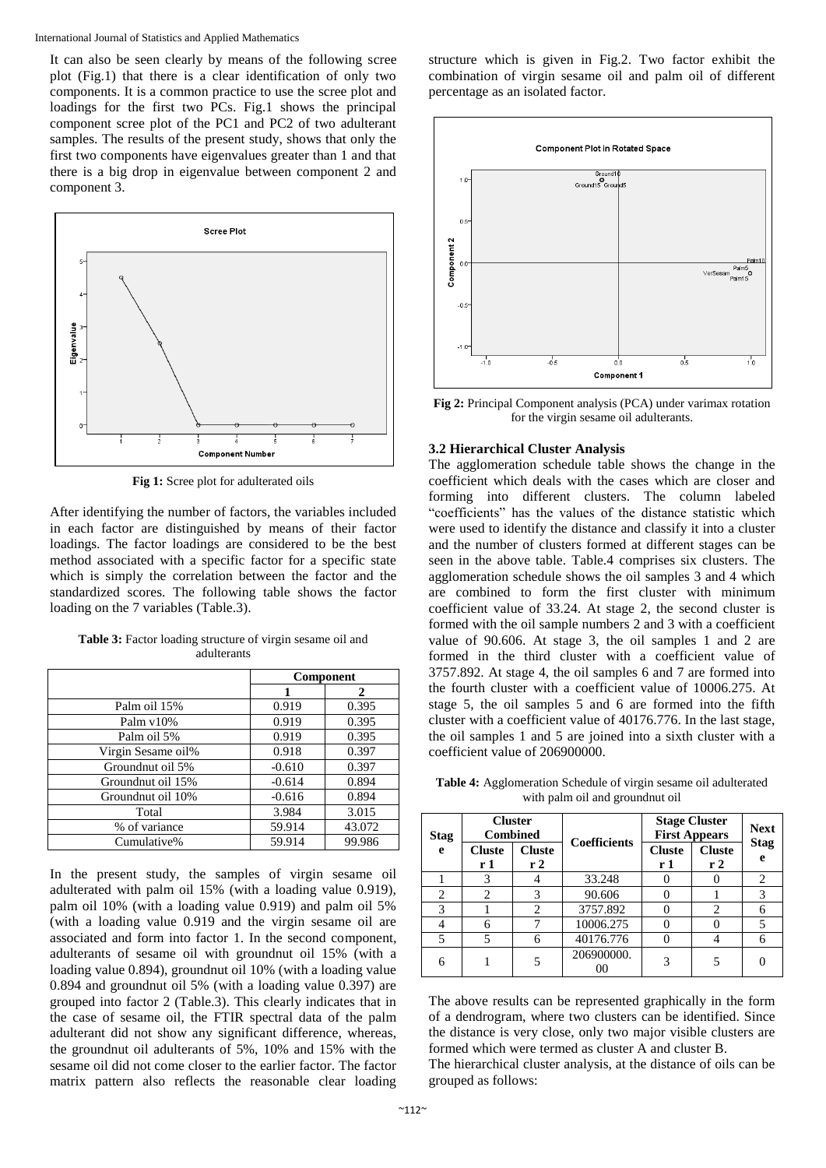It can also be seen clearly by means of the following scree plot (Fig.1) that there is a clear identification of only two components. It is a common practice to use the scree plot and loadings for the first two PCs. Fig.1 shows the principal component scree plot of the PC1 and PC2 of two adulterant samples. The results of the present study, shows that only the first two components have eigenvalues greater than 1 and that there is a big drop in eigenvalue between component 2 and component 3.



**Fig 1:** Scree plot for adulterated oils

After identifying the number of factors, the variables included in each factor are distinguished by means of their factor loadings. The factor loadings are considered to be the best method associated with a specific factor for a specific state which is simply the correlation between the factor and the standardized scores. The following table shows the factor loading on the 7 variables (Table.3).

|                    |          | Component |
|--------------------|----------|-----------|
|                    |          |           |
| Palm oil 15%       | 0.919    | 0.395     |
| Palm v10%          | 0.919    | 0.395     |
| Palm oil 5%        | 0.919    | 0.395     |
| Virgin Sesame oil% | 0.918    | 0.397     |
| Groundnut oil 5%   | $-0.610$ | 0.397     |
| Groundnut oil 15%  | $-0.614$ | 0.894     |
| Groundnut oil 10%  | $-0.616$ | 0.894     |
| Total              | 3.984    | 3.015     |
| % of variance      | 59.914   | 43.072    |
| Cumulative%        | 59.914   | 99.986    |

Table 3: Factor loading structure of virgin sesame oil and adulterants

In the present study, the samples of virgin sesame oil adulterated with palm oil 15% (with a loading value 0.919), palm oil 10% (with a loading value 0.919) and palm oil 5% (with a loading value 0.919 and the virgin sesame oil are associated and form into factor 1. In the second component, adulterants of sesame oil with groundnut oil 15% (with a loading value 0.894), groundnut oil 10% (with a loading value 0.894 and groundnut oil 5% (with a loading value 0.397) are grouped into factor 2 (Table.3). This clearly indicates that in the case of sesame oil, the FTIR spectral data of the palm adulterant did not show any significant difference, whereas, the groundnut oil adulterants of 5%, 10% and 15% with the sesame oil did not come closer to the earlier factor. The factor matrix pattern also reflects the reasonable clear loading structure which is given in Fig.2. Two factor exhibit the combination of virgin sesame oil and palm oil of different percentage as an isolated factor.



**Fig 2:** Principal Component analysis (PCA) under varimax rotation for the virgin sesame oil adulterants.

## **3.2 Hierarchical Cluster Analysis**

The agglomeration schedule table shows the change in the coefficient which deals with the cases which are closer and forming into different clusters. The column labeled "coefficients" has the values of the distance statistic which were used to identify the distance and classify it into a cluster and the number of clusters formed at different stages can be seen in the above table. Table.4 comprises six clusters. The agglomeration schedule shows the oil samples 3 and 4 which are combined to form the first cluster with minimum coefficient value of 33.24. At stage 2, the second cluster is formed with the oil sample numbers 2 and 3 with a coefficient value of 90.606. At stage 3, the oil samples 1 and 2 are formed in the third cluster with a coefficient value of 3757.892. At stage 4, the oil samples 6 and 7 are formed into the fourth cluster with a coefficient value of 10006.275. At stage 5, the oil samples 5 and 6 are formed into the fifth cluster with a coefficient value of 40176.776. In the last stage, the oil samples 1 and 5 are joined into a sixth cluster with a coefficient value of 206900000.

**Table 4:** Agglomeration Schedule of virgin sesame oil adulterated with palm oil and groundnut oil

| <b>Stag</b> | <b>Cluster</b><br><b>Combined</b> |                     | <b>Coefficients</b> | <b>Stage Cluster</b><br><b>First Appears</b> |                     | <b>Next</b><br><b>Stag</b> |
|-------------|-----------------------------------|---------------------|---------------------|----------------------------------------------|---------------------|----------------------------|
| e           | <b>Cluste</b><br>r 1              | <b>Cluste</b><br>r2 |                     | <b>Cluste</b><br>r 1                         | <b>Cluste</b><br>r2 | e                          |
|             | 3                                 |                     | 33.248              |                                              |                     | $\overline{c}$             |
| 2           | っ                                 | 3                   | 90.606              |                                              |                     | 3                          |
| 3           |                                   | $\overline{c}$      | 3757.892            |                                              | 2                   | 6                          |
|             | 6                                 |                     | 10006.275           | C                                            |                     | 5                          |
| 5           |                                   | 6                   | 40176.776           |                                              |                     | 6                          |
| 6           |                                   |                     | 206900000.          | 3                                            |                     |                            |

The above results can be represented graphically in the form of a dendrogram, where two clusters can be identified. Since the distance is very close, only two major visible clusters are formed which were termed as cluster A and cluster B.

The hierarchical cluster analysis, at the distance of oils can be grouped as follows: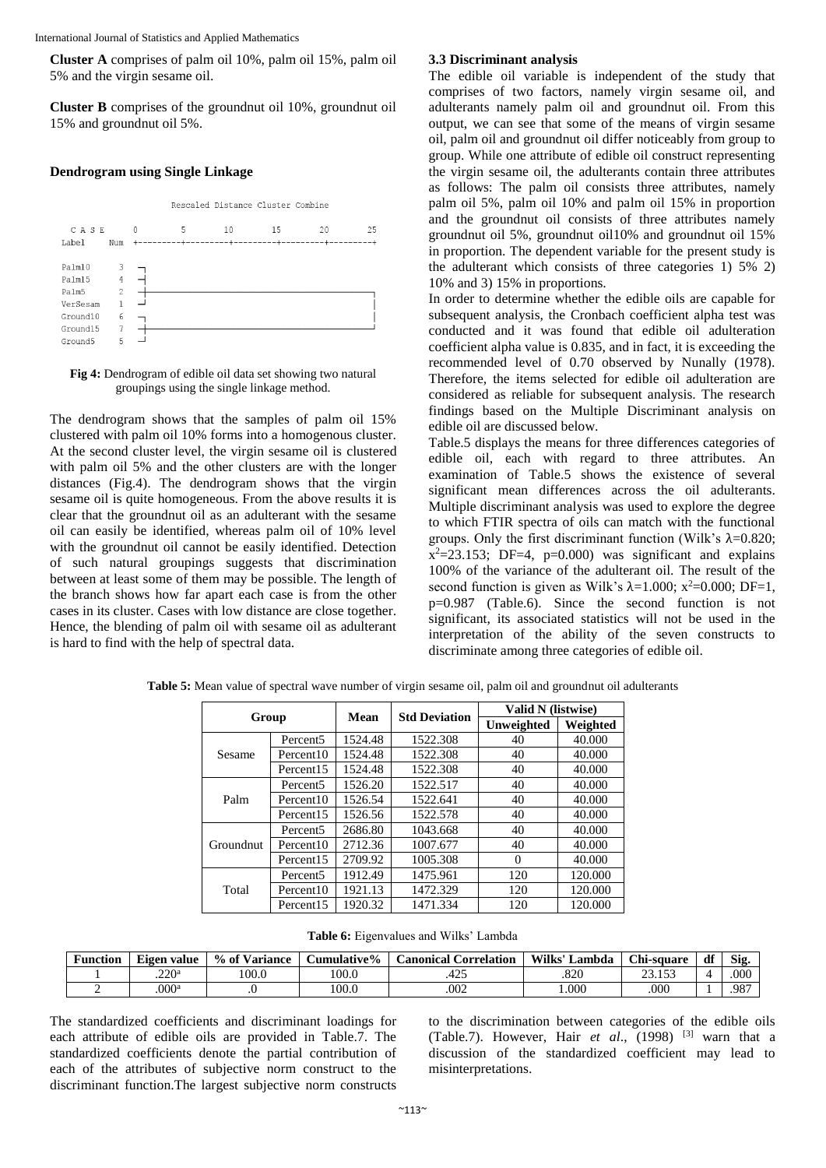**Cluster A** comprises of palm oil 10%, palm oil 15%, palm oil 5% and the virgin sesame oil.

**Cluster B** comprises of the groundnut oil 10%, groundnut oil 15% and groundnut oil 5%.

## **Dendrogram using Single Linkage**



#### **Fig 4:** Dendrogram of edible oil data set showing two natural groupings using the single linkage method.

The dendrogram shows that the samples of palm oil 15% clustered with palm oil 10% forms into a homogenous cluster. At the second cluster level, the virgin sesame oil is clustered with palm oil 5% and the other clusters are with the longer distances (Fig.4). The dendrogram shows that the virgin sesame oil is quite homogeneous. From the above results it is clear that the groundnut oil as an adulterant with the sesame oil can easily be identified, whereas palm oil of 10% level with the groundnut oil cannot be easily identified. Detection of such natural groupings suggests that discrimination between at least some of them may be possible. The length of the branch shows how far apart each case is from the other cases in its cluster. Cases with low distance are close together. Hence, the blending of palm oil with sesame oil as adulterant is hard to find with the help of spectral data.

# **3.3 Discriminant analysis**

The edible oil variable is independent of the study that comprises of two factors, namely virgin sesame oil, and adulterants namely palm oil and groundnut oil. From this output, we can see that some of the means of virgin sesame oil, palm oil and groundnut oil differ noticeably from group to group. While one attribute of edible oil construct representing the virgin sesame oil, the adulterants contain three attributes as follows: The palm oil consists three attributes, namely palm oil 5%, palm oil 10% and palm oil 15% in proportion and the groundnut oil consists of three attributes namely groundnut oil 5%, groundnut oil10% and groundnut oil 15% in proportion. The dependent variable for the present study is the adulterant which consists of three categories 1) 5% 2) 10% and 3) 15% in proportions.

In order to determine whether the edible oils are capable for subsequent analysis, the Cronbach coefficient alpha test was conducted and it was found that edible oil adulteration coefficient alpha value is 0.835, and in fact, it is exceeding the recommended level of 0.70 observed by Nunally (1978). Therefore, the items selected for edible oil adulteration are considered as reliable for subsequent analysis. The research findings based on the Multiple Discriminant analysis on edible oil are discussed below.

Table.5 displays the means for three differences categories of edible oil, each with regard to three attributes. An examination of Table.5 shows the existence of several significant mean differences across the oil adulterants. Multiple discriminant analysis was used to explore the degree to which FTIR spectra of oils can match with the functional groups. Only the first discriminant function (Wilk's  $\lambda$ =0.820;  $x^2=23.153$ ; DF=4, p=0.000) was significant and explains 100% of the variance of the adulterant oil. The result of the second function is given as Wilk's  $\lambda$ =1.000; x<sup>2</sup>=0.000; DF=1, p=0.987 (Table.6). Since the second function is not significant, its associated statistics will not be used in the interpretation of the ability of the seven constructs to discriminate among three categories of edible oil.

| Group     |                       | <b>Std Deviation</b><br>Mean |          | Valid N (listwise) |          |
|-----------|-----------------------|------------------------------|----------|--------------------|----------|
|           |                       |                              |          | Unweighted         | Weighted |
|           | Percent <sub>5</sub>  | 1524.48                      | 1522.308 | 40                 | 40.000   |
| Sesame    | Percent <sub>10</sub> | 1524.48                      | 1522.308 | 40                 | 40.000   |
|           | Percent <sub>15</sub> | 1524.48                      | 1522.308 | 40                 | 40.000   |
|           | Percent <sub>5</sub>  | 1526.20                      | 1522.517 | 40                 | 40.000   |
| Palm      | Percent <sub>10</sub> | 1526.54                      | 1522.641 | 40                 | 40.000   |
|           | Percent <sub>15</sub> | 1526.56                      | 1522.578 | 40                 | 40.000   |
|           | Percent <sub>5</sub>  | 2686.80                      | 1043.668 | 40                 | 40.000   |
| Groundnut | Percent <sub>10</sub> | 2712.36                      | 1007.677 | 40                 | 40.000   |
|           | Percent <sub>15</sub> | 2709.92                      | 1005.308 | $\Omega$           | 40.000   |
|           | Percent <sub>5</sub>  | 1912.49                      | 1475.961 | 120                | 120.000  |
| Total     | Percent <sub>10</sub> | 1921.13                      | 1472.329 | 120                | 120.000  |
|           | Percent <sub>15</sub> | 1920.32                      | 1471.334 | 120                | 120.000  |

**Table 5:** Mean value of spectral wave number of virgin sesame oil, palm oil and groundnut oil adulterants

**Table 6:** Eigenvalues and Wilks' Lambda

| Function | --<br>. value<br>Eigen | $%$ of V<br>Variance | Cumulative% | <b>Correlation</b><br>anonical C | Wilks'<br>∟ambda | Chi-square           | df | Sig. |
|----------|------------------------|----------------------|-------------|----------------------------------|------------------|----------------------|----|------|
|          | วว∩a<br>ں صد           | 100.0                | 100.0       | $\sim$<br>443                    | .820             | 152<br>$\sim$<br>ر ر |    | .000 |
|          | .000 <sup>a</sup>      | $\cdot$              | 100.0       | .002                             | 000              | .000                 |    | .987 |

The standardized coefficients and discriminant loadings for each attribute of edible oils are provided in Table.7. The standardized coefficients denote the partial contribution of each of the attributes of subjective norm construct to the discriminant function.The largest subjective norm constructs

to the discrimination between categories of the edible oils (Table.7). However, Hair *et al*., (1998) [3] warn that a discussion of the standardized coefficient may lead to misinterpretations.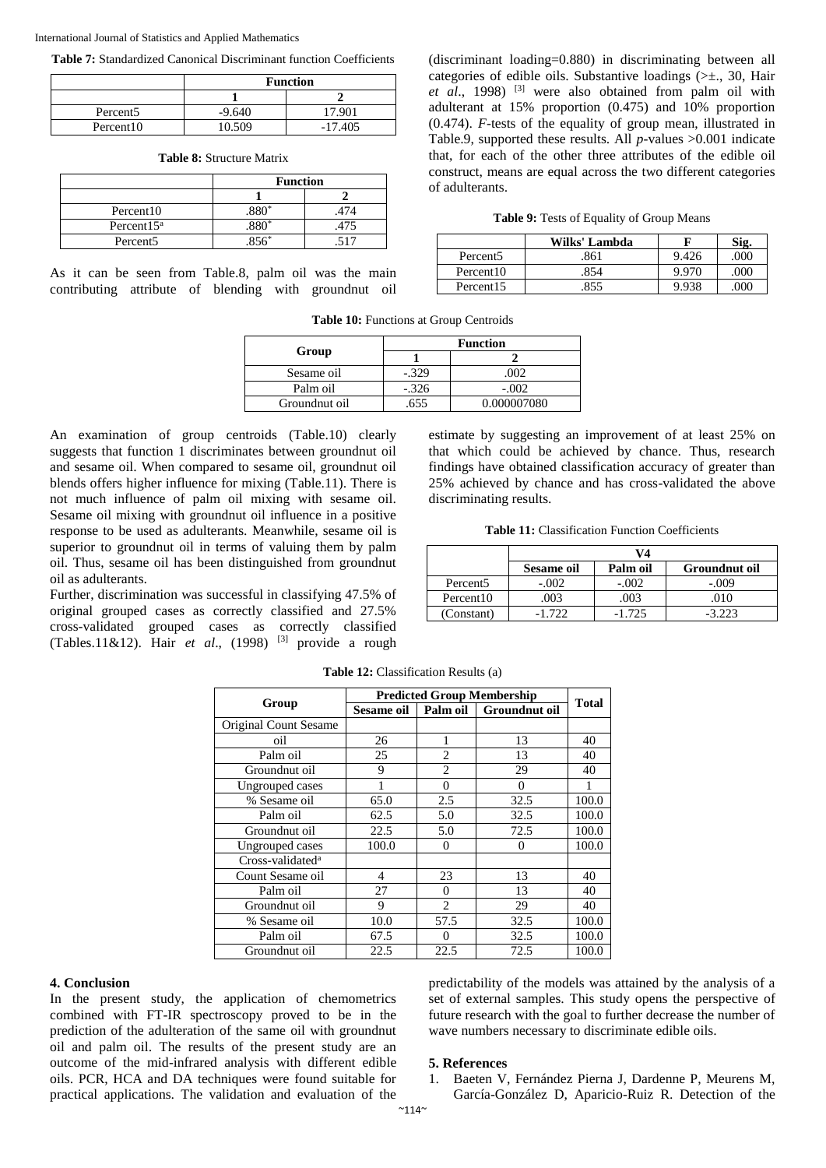**Table 7:** Standardized Canonical Discriminant function Coefficients

|                       | <b>Function</b> |        |  |
|-----------------------|-----------------|--------|--|
|                       |                 |        |  |
| Percent <sub>5</sub>  | $-9.640$        | 17.901 |  |
| Percent <sub>10</sub> | 10 509          | 7405   |  |

|  |  |  | <b>Table 8:</b> Structure Matrix |  |
|--|--|--|----------------------------------|--|
|--|--|--|----------------------------------|--|

|                       | <b>Function</b> |  |  |
|-----------------------|-----------------|--|--|
|                       |                 |  |  |
| Percent <sub>10</sub> |                 |  |  |
| Percent $15^a$        | 475             |  |  |
| Percent <sub>5</sub>  |                 |  |  |

As it can be seen from Table.8, palm oil was the main contributing attribute of blending with groundnut oil (discriminant loading=0.880) in discriminating between all categories of edible oils. Substantive loadings (>±., 30, Hair *et al*., 1998) [3] were also obtained from palm oil with adulterant at 15% proportion (0.475) and 10% proportion (0.474). *F-*tests of the equality of group mean, illustrated in Table.9, supported these results. All *p-*values >0.001 indicate that, for each of the other three attributes of the edible oil construct, means are equal across the two different categories of adulterants.

| Table 9: Tests of Equality of Group Means |  |  |  |  |  |  |
|-------------------------------------------|--|--|--|--|--|--|
|-------------------------------------------|--|--|--|--|--|--|

|                       | Wilks' Lambda | F     | Sig. |
|-----------------------|---------------|-------|------|
| Percent <sub>5</sub>  | 861           | 9.426 | .000 |
| Percent <sub>10</sub> | 854           | 9.970 | .000 |
| Percent <sub>15</sub> | 855           | 9.938 | .000 |

**Table 10:** Functions at Group Centroids

|               | <b>Function</b> |             |  |  |
|---------------|-----------------|-------------|--|--|
| Group         |                 |             |  |  |
| Sesame oil    | $-.329$         | 002         |  |  |
| Palm oil      | $-.326$         | $-.002$     |  |  |
| Groundnut oil |                 | 0.000007080 |  |  |

An examination of group centroids (Table.10) clearly suggests that function 1 discriminates between groundnut oil and sesame oil. When compared to sesame oil, groundnut oil blends offers higher influence for mixing (Table.11). There is not much influence of palm oil mixing with sesame oil. Sesame oil mixing with groundnut oil influence in a positive response to be used as adulterants. Meanwhile, sesame oil is superior to groundnut oil in terms of valuing them by palm oil. Thus, sesame oil has been distinguished from groundnut oil as adulterants.

Further, discrimination was successful in classifying 47.5% of original grouped cases as correctly classified and 27.5% cross-validated grouped cases as correctly classified (Tables.11&12). Hair *et al.*, (1998) <sup>[3]</sup> provide a rough estimate by suggesting an improvement of at least 25% on that which could be achieved by chance. Thus, research findings have obtained classification accuracy of greater than 25% achieved by chance and has cross-validated the above discriminating results.

**Table 11:** Classification Function Coefficients

|                       | 74         |          |               |  |  |
|-----------------------|------------|----------|---------------|--|--|
|                       | Sesame oil | Palm oil | Groundnut oil |  |  |
| Percent <sub>5</sub>  | $-.002$    | $-.002$  | $-.009$       |  |  |
| Percent <sub>10</sub> | 003        | 003      | 010           |  |  |
| (Constant)            |            | 1.725    | -3 223        |  |  |

|                              | <b>Predicted Group Membership</b> |                |               |              |
|------------------------------|-----------------------------------|----------------|---------------|--------------|
| Group                        | Sesame oil                        | Palm oil       | Groundnut oil | <b>Total</b> |
| Original Count Sesame        |                                   |                |               |              |
| oil                          | 26                                |                | 13            | 40           |
| Palm oil                     | 25                                | $\overline{c}$ | 13            | 40           |
| Groundnut oil                | 9                                 | $\overline{2}$ | 29            | 40           |
| Ungrouped cases              |                                   | $\Omega$       | $\Omega$      |              |
| % Sesame oil                 | 65.0                              | 2.5            | 32.5          | 100.0        |
| Palm oil                     | 62.5                              | 5.0            | 32.5          | 100.0        |
| Groundnut oil                | 22.5                              | 5.0            | 72.5          | 100.0        |
| Ungrouped cases              | 100.0                             | $\Omega$       | $\Omega$      | 100.0        |
| Cross-validated <sup>a</sup> |                                   |                |               |              |
| Count Sesame oil             | 4                                 | 23             | 13            | 40           |
| Palm oil                     | 27                                | $\Omega$       | 13            | 40           |
| Groundnut oil                | 9                                 | $\overline{c}$ | 29            | 40           |
| % Sesame oil                 | 10.0                              | 57.5           | 32.5          | 100.0        |
| Palm oil                     | 67.5                              | 0              | 32.5          | 100.0        |
| Groundnut oil                | 22.5                              | 22.5           | 72.5          | 100.0        |

**Table 12:** Classification Results (a)

#### **4. Conclusion**

In the present study, the application of chemometrics combined with FT-IR spectroscopy proved to be in the prediction of the adulteration of the same oil with groundnut oil and palm oil. The results of the present study are an outcome of the mid-infrared analysis with different edible oils. PCR, HCA and DA techniques were found suitable for practical applications. The validation and evaluation of the predictability of the models was attained by the analysis of a set of external samples. This study opens the perspective of future research with the goal to further decrease the number of wave numbers necessary to discriminate edible oils.

#### **5. References**

1. Baeten V, Fernández Pierna J, Dardenne P, Meurens M, García-González D, Aparicio-Ruiz R. Detection of the